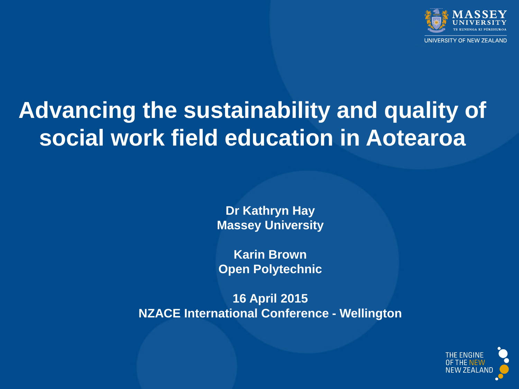

### **Advancing the sustainability and quality of social work field education in Aotearoa**

**Dr Kathryn Hay Massey University**

**Karin Brown Open Polytechnic**

**16 April 2015 NZACE International Conference - Wellington**

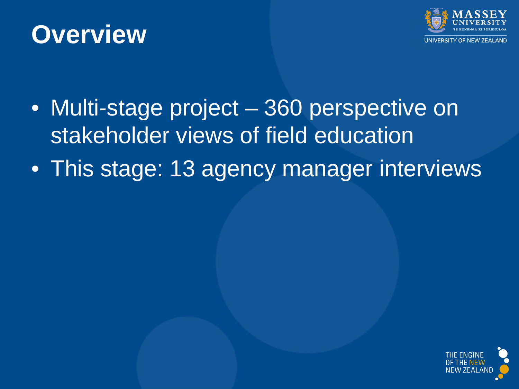#### **Overview**



- Multi-stage project 360 perspective on stakeholder views of field education
- This stage: 13 agency manager interviews

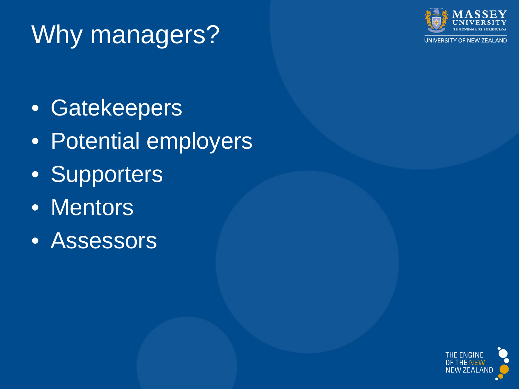# Why managers?



UNIVERSITY OF NEW ZEALAND

- Gatekeepers
- Potential employers
- Supporters
- Mentors
- Assessors

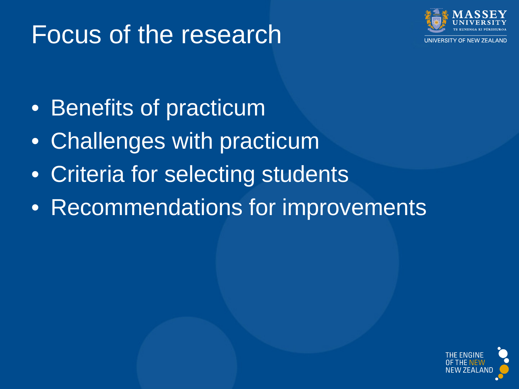### Focus of the research



- Benefits of practicum
- Challenges with practicum
- Criteria for selecting students
- Recommendations for improvements

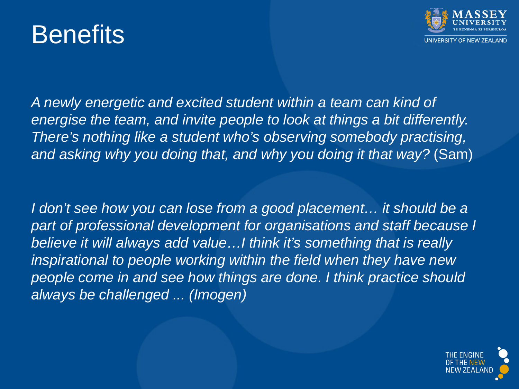#### **Benefits**



*A newly energetic and excited student within a team can kind of energise the team, and invite people to look at things a bit differently. There's nothing like a student who's observing somebody practising, and asking why you doing that, and why you doing it that way?* (Sam)

*I* don't see how you can lose from a good placement... it should be a *part of professional development for organisations and staff because I believe it will always add value…I think it's something that is really inspirational to people working within the field when they have new people come in and see how things are done. I think practice should always be challenged ... (Imogen)*

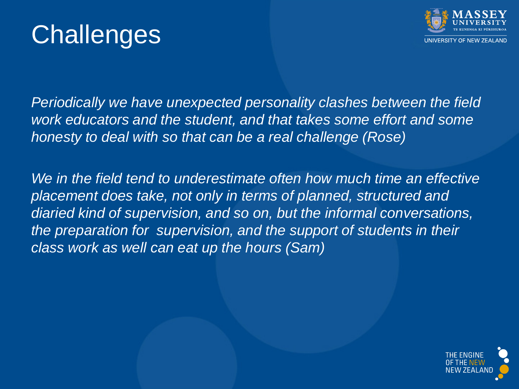



*Periodically we have unexpected personality clashes between the field work educators and the student, and that takes some effort and some honesty to deal with so that can be a real challenge (Rose)*

*We in the field tend to underestimate often how much time an effective placement does take, not only in terms of planned, structured and diaried kind of supervision, and so on, but the informal conversations, the preparation for supervision, and the support of students in their class work as well can eat up the hours (Sam)* 

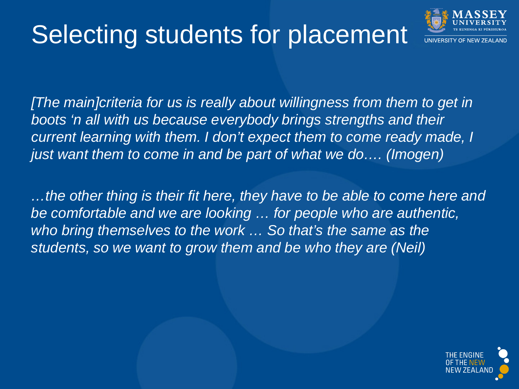# Selecting students for placement



*[The main]criteria for us is really about willingness from them to get in boots 'n all with us because everybody brings strengths and their current learning with them. I don't expect them to come ready made, I just want them to come in and be part of what we do…. (Imogen)*

*…the other thing is their fit here, they have to be able to come here and be comfortable and we are looking … for people who are authentic, who bring themselves to the work … So that's the same as the students, so we want to grow them and be who they are (Neil)*

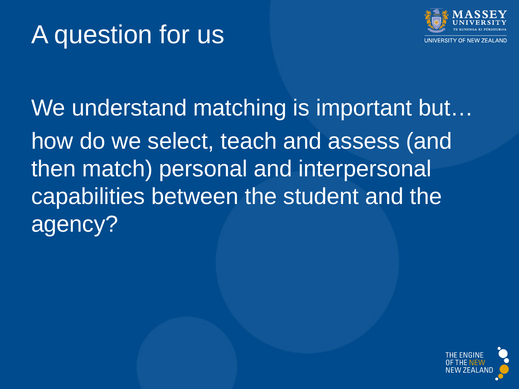## A question for us



We understand matching is important but... how do we select, teach and assess (and then match) personal and interpersonal capabilities between the student and the agency?

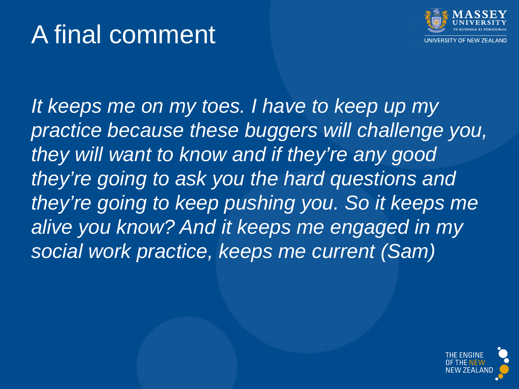## A final comment



*It keeps me on my toes. I have to keep up my practice because these buggers will challenge you, they will want to know and if they're any good they're going to ask you the hard questions and they're going to keep pushing you. So it keeps me alive you know? And it keeps me engaged in my social work practice, keeps me current (Sam)*

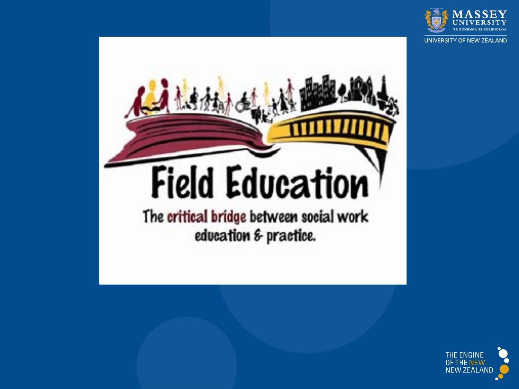

UNIVERSITY OF NEW ZEALAND